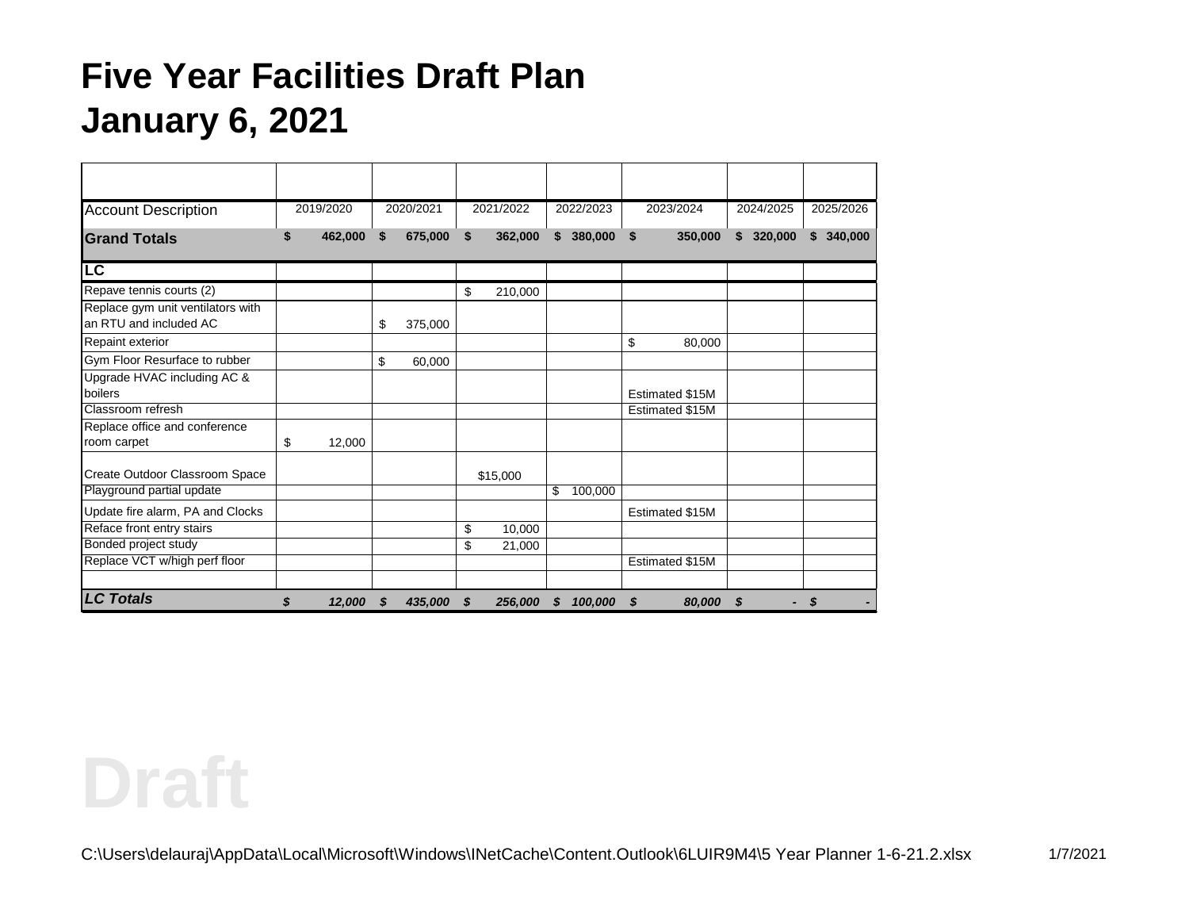| <b>Account Description</b>                                  | 2019/2020     |    | 2020/2021 |    | 2021/2022 |              | 2022/2023 |    | 2023/2024       | 2024/2025 | 2025/2026               |
|-------------------------------------------------------------|---------------|----|-----------|----|-----------|--------------|-----------|----|-----------------|-----------|-------------------------|
| <b>Grand Totals</b>                                         | \$<br>462,000 | \$ | 675,000   | \$ | 362,000   | $\mathbf{s}$ | 380,000   | \$ | 350,000         | \$320,000 | 340,000<br>$\mathbf{s}$ |
| $\overline{\mathsf{LC}}$                                    |               |    |           |    |           |              |           |    |                 |           |                         |
| Repave tennis courts (2)                                    |               |    |           | \$ | 210,000   |              |           |    |                 |           |                         |
| Replace gym unit ventilators with<br>an RTU and included AC |               | \$ | 375,000   |    |           |              |           |    |                 |           |                         |
| <b>Repaint exterior</b>                                     |               |    |           |    |           |              |           | \$ | 80,000          |           |                         |
| Gym Floor Resurface to rubber                               |               | \$ | 60,000    |    |           |              |           |    |                 |           |                         |
| Upgrade HVAC including AC &<br>boilers                      |               |    |           |    |           |              |           |    | Estimated \$15M |           |                         |
| Classroom refresh                                           |               |    |           |    |           |              |           |    | Estimated \$15M |           |                         |
| Replace office and conference<br>room carpet                | \$<br>12,000  |    |           |    |           |              |           |    |                 |           |                         |
| Create Outdoor Classroom Space                              |               |    |           |    | \$15,000  |              |           |    |                 |           |                         |
| Playground partial update                                   |               |    |           |    |           | \$           | 100,000   |    |                 |           |                         |
| Update fire alarm, PA and Clocks                            |               |    |           |    |           |              |           |    | Estimated \$15M |           |                         |
| Reface front entry stairs                                   |               |    |           | \$ | 10,000    |              |           |    |                 |           |                         |
| Bonded project study                                        |               |    |           | \$ | 21,000    |              |           |    |                 |           |                         |
| Replace VCT w/high perf floor                               |               |    |           |    |           |              |           |    | Estimated \$15M |           |                         |
| <b>LC Totals</b>                                            | \$<br>12,000  | S  | 435,000   | S  | 256,000   | \$           | 100,000   | S  | 80,000          | \$        | - \$                    |

**Draft**

C:\Users\delauraj\AppData\Local\Microsoft\Windows\INetCache\Content.Outlook\6LUIR9M4\5 Year Planner 1-6-21.2.xlsx 1/7/2021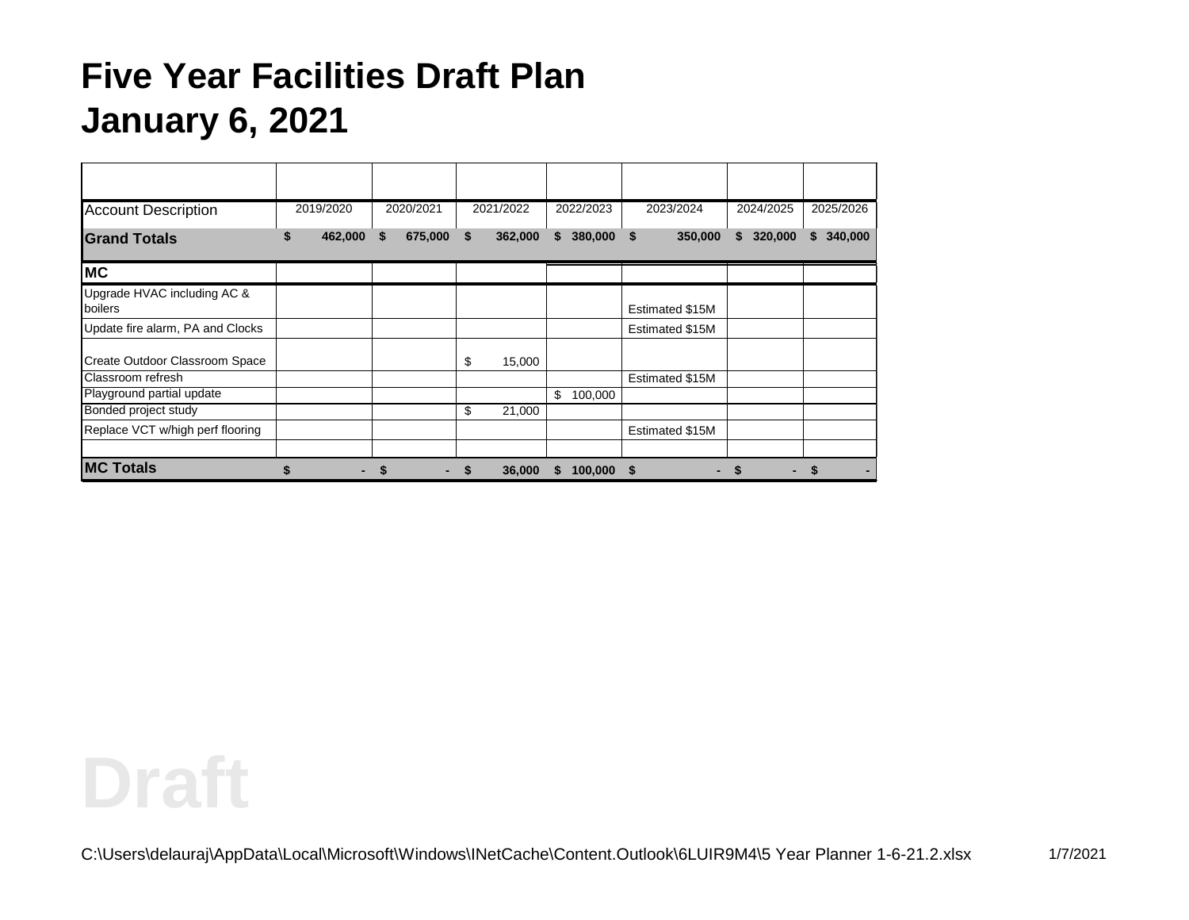| <b>Account Description</b>             | 2019/2020 |         | 2020/2021     | 2021/2022 |         | 2022/2023 |              | 2023/2024       | 2024/2025     | 2025/2026     |
|----------------------------------------|-----------|---------|---------------|-----------|---------|-----------|--------------|-----------------|---------------|---------------|
| <b>Grand Totals</b>                    | S         | 462,000 | \$<br>675,000 | \$        | 362,000 | \$        | 380,000 \$   | 350,000         | 320,000<br>S. | 340,000<br>S. |
| MC                                     |           |         |               |           |         |           |              |                 |               |               |
| Upgrade HVAC including AC &<br>boilers |           |         |               |           |         |           |              | Estimated \$15M |               |               |
| Update fire alarm, PA and Clocks       |           |         |               |           |         |           |              | Estimated \$15M |               |               |
| Create Outdoor Classroom Space         |           |         |               | \$        | 15,000  |           |              |                 |               |               |
| Classroom refresh                      |           |         |               |           |         |           |              | Estimated \$15M |               |               |
| Playground partial update              |           |         |               |           |         | \$        | 100,000      |                 |               |               |
| Bonded project study                   |           |         |               | \$        | 21,000  |           |              |                 |               |               |
| Replace VCT w/high perf flooring       |           |         |               |           |         |           |              | Estimated \$15M |               |               |
|                                        |           |         |               |           |         |           |              |                 |               |               |
| <b>MC Totals</b>                       | \$        |         |               | \$        | 36,000  | S         | $100,000$ \$ |                 | S<br>-        |               |

# **Draft**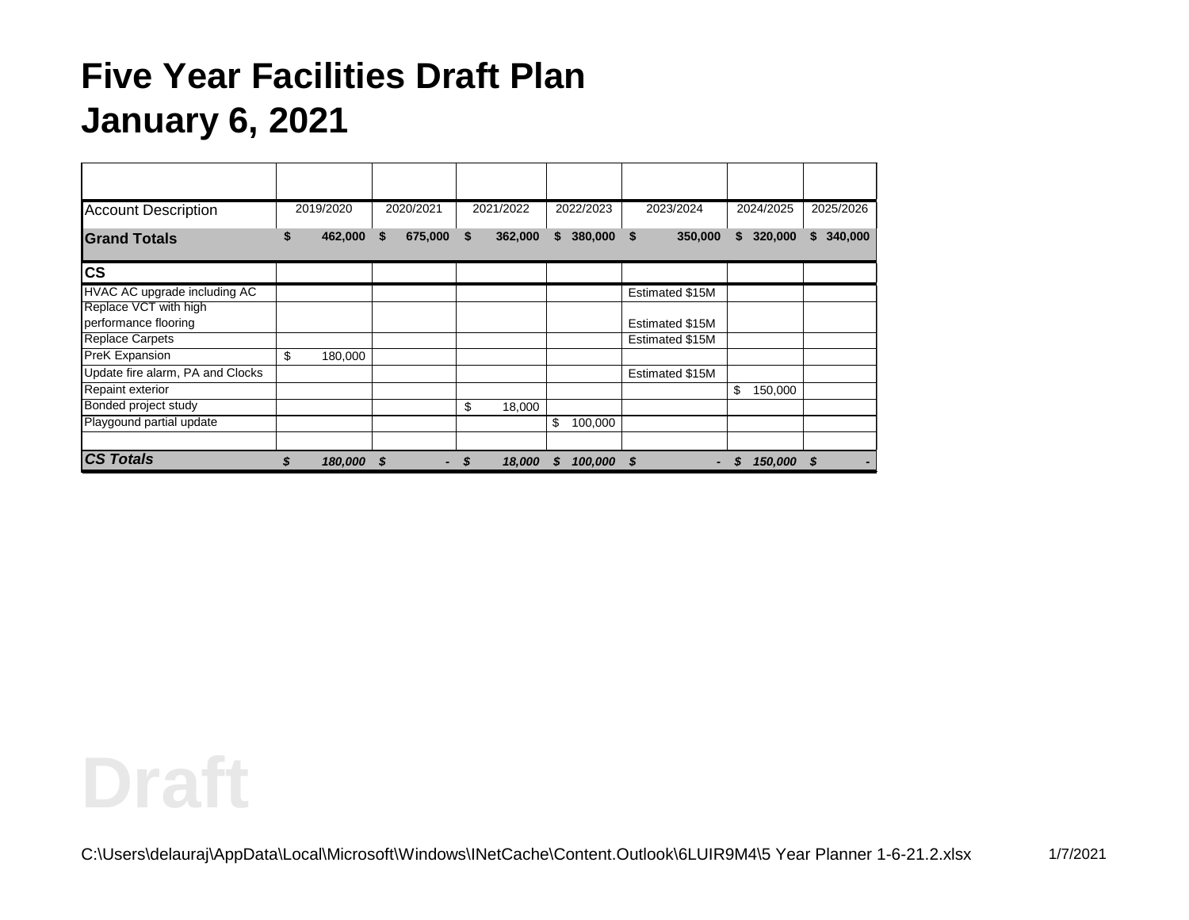| <b>Account Description</b>       | 2019/2020 |         | 2020/2021 |         | 2021/2022 |         | 2022/2023 |            | 2023/2024 |                 |    | 2024/2025  | 2025/2026     |
|----------------------------------|-----------|---------|-----------|---------|-----------|---------|-----------|------------|-----------|-----------------|----|------------|---------------|
| <b>Grand Totals</b>              | S         | 462,000 | S         | 675,000 | \$        | 362,000 | S.        | 380,000    | \$        | 350,000         | S. | 320,000    | 340,000<br>\$ |
| <b>CS</b>                        |           |         |           |         |           |         |           |            |           |                 |    |            |               |
| HVAC AC upgrade including AC     |           |         |           |         |           |         |           |            |           | Estimated \$15M |    |            |               |
| Replace VCT with high            |           |         |           |         |           |         |           |            |           |                 |    |            |               |
| performance flooring             |           |         |           |         |           |         |           |            |           | Estimated \$15M |    |            |               |
| <b>Replace Carpets</b>           |           |         |           |         |           |         |           |            |           | Estimated \$15M |    |            |               |
| PreK Expansion                   | \$        | 180,000 |           |         |           |         |           |            |           |                 |    |            |               |
| Update fire alarm, PA and Clocks |           |         |           |         |           |         |           |            |           | Estimated \$15M |    |            |               |
| <b>Repaint exterior</b>          |           |         |           |         |           |         |           |            |           |                 | \$ | 150,000    |               |
| Bonded project study             |           |         |           |         | \$        | 18,000  |           |            |           |                 |    |            |               |
| Playgound partial update         |           |         |           |         |           |         | \$        | 100,000    |           |                 |    |            |               |
|                                  |           |         |           |         |           |         |           |            |           |                 |    |            |               |
| <b>CS Totals</b>                 | \$        | 180,000 | - 5       |         | \$        | 18,000  | <b>S</b>  | 100,000 \$ |           |                 |    | 150,000 \$ |               |

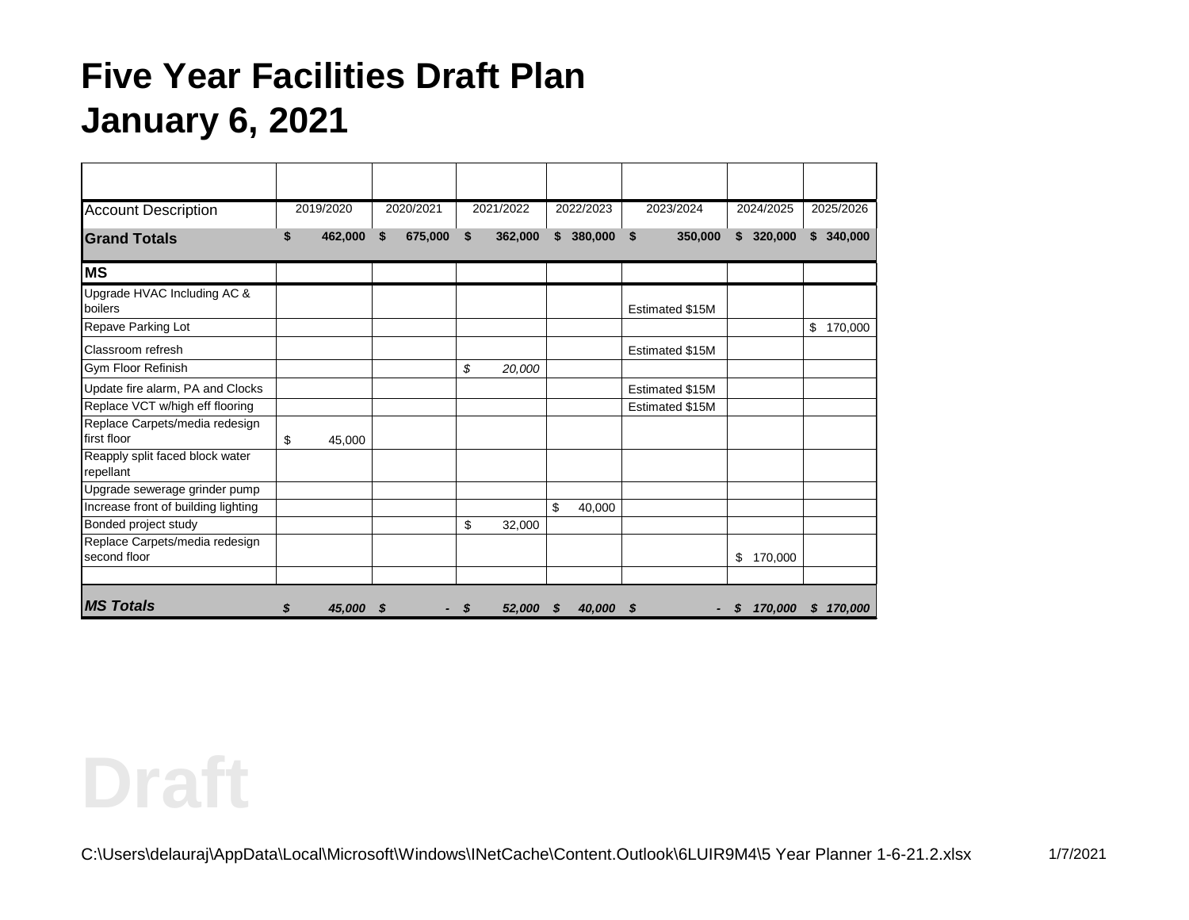| <b>Account Description</b>                   |    | 2019/2020 |    | 2020/2021 |    | 2021/2022 |    | 2022/2023 | 2023/2024       | 2024/2025 |         | 2025/2026               |
|----------------------------------------------|----|-----------|----|-----------|----|-----------|----|-----------|-----------------|-----------|---------|-------------------------|
| <b>Grand Totals</b>                          | S  | 462,000   | \$ | 675,000   | \$ | 362,000   |    | \$380,000 | \$<br>350,000   | \$320,000 |         | 340,000<br>$\mathbf{s}$ |
|                                              |    |           |    |           |    |           |    |           |                 |           |         |                         |
| <b>MS</b>                                    |    |           |    |           |    |           |    |           |                 |           |         |                         |
| Upgrade HVAC Including AC &                  |    |           |    |           |    |           |    |           |                 |           |         |                         |
| boilers                                      |    |           |    |           |    |           |    |           | Estimated \$15M |           |         |                         |
| Repave Parking Lot                           |    |           |    |           |    |           |    |           |                 |           |         | \$<br>170,000           |
| Classroom refresh                            |    |           |    |           |    |           |    |           | Estimated \$15M |           |         |                         |
| Gym Floor Refinish                           |    |           |    |           | \$ | 20,000    |    |           |                 |           |         |                         |
| Update fire alarm, PA and Clocks             |    |           |    |           |    |           |    |           | Estimated \$15M |           |         |                         |
| Replace VCT w/high eff flooring              |    |           |    |           |    |           |    |           | Estimated \$15M |           |         |                         |
| Replace Carpets/media redesign               |    |           |    |           |    |           |    |           |                 |           |         |                         |
| first floor                                  | \$ | 45,000    |    |           |    |           |    |           |                 |           |         |                         |
| Reapply split faced block water<br>repellant |    |           |    |           |    |           |    |           |                 |           |         |                         |
| Upgrade sewerage grinder pump                |    |           |    |           |    |           |    |           |                 |           |         |                         |
| Increase front of building lighting          |    |           |    |           |    |           | \$ | 40,000    |                 |           |         |                         |
| Bonded project study                         |    |           |    |           | \$ | 32,000    |    |           |                 |           |         |                         |
| Replace Carpets/media redesign               |    |           |    |           |    |           |    |           |                 |           |         |                         |
| second floor                                 |    |           |    |           |    |           |    |           |                 | \$        | 170,000 |                         |
|                                              |    |           |    |           |    |           |    |           |                 |           |         |                         |
| <b>IMS Totals</b>                            | S  | 45,000    | S  |           | S  | 52,000    | S. | 40,000    | - \$            |           | 170,000 | 170,000<br>S.           |

**Draft**

C:\Users\delauraj\AppData\Local\Microsoft\Windows\INetCache\Content.Outlook\6LUIR9M4\5 Year Planner 1-6-21.2.xlsx 1/7/2021